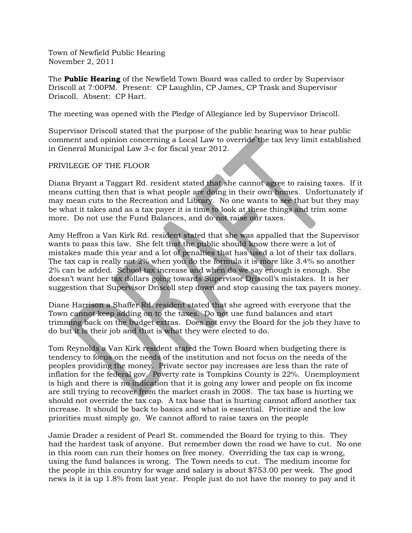Town of Newfield Public Hearing November 2, 2011

The **Public Hearing** of the Newfield Town Board was called to order by Supervisor Driscoll at 7:00PM. Present: CP Laughlin, CP James, CP Trask and Supervisor Driscoll. Absent: CP Hart.

The meeting was opened with the Pledge of Allegiance led by Supervisor Driscoll.

Supervisor Driscoll stated that the purpose of the public hearing was to hear public comment and opinion concerning a Local Law to override the tax levy limit established in General Municipal Law 3-c for fiscal year 2012.

PRIVILEGE OF THE FLOOR

Diana Bryant a Taggart Rd. resident stated that she cannot agree to raising taxes. If it means cutting then that is what people are doing in their own homes. Unfortunately if may mean cuts to the Recreation and Library. No one wants to see that but they may be what it takes and as a tax payer it is time to look at these things and trim some more. Do not use the Fund Balances, and do not raise our taxes.

Amy Heffron a Van Kirk Rd. resident stated that she was appalled that the Supervisor wants to pass this law. She felt that the public should know there were a lot of mistakes made this year and a lot of penalties that has used a lot of their tax dollars. The tax cap is really not 2% when you do the formula it is more like 3.4% so another 2% can be added. School tax increase and when do we say enough is enough. She doesn't want her tax dollars going towards Supervisor Driscoll's mistakes. It is her suggestion that Supervisor Driscoll step down and stop causing the tax payers money.

Diane Harrison a Shaffer Rd. resident stated that she agreed with everyone that the Town cannot keep adding on to the taxes. Do not use fund balances and start trimming back on the budget extras. Does not envy the Board for the job they have to do but it is their job and that is what they were elected to do.

Tom Reynolds a Van Kirk resident stated the Town Board when budgeting there is tendency to focus on the needs of the institution and not focus on the needs of the peoples providing the money. Private sector pay increases are less than the rate of inflation for the federal gov. Poverty rate is Tompkins County is 22%. Unemployment is high and there is no indication that it is going any lower and people on fix income are still trying to recover from the market crash in 2008. The tax base is hurting we should not override the tax cap. A tax base that is hurting cannot afford another tax increase. It should be back to basics and what is essential. Prioritize and the low priorities must simply go. We cannot afford to raise taxes on the people

Jamie Drader a resident of Pearl St. commended the Board for trying to this. They had the hardest task of anyone. But remember down the road we have to cut. No one in this room can run their homes on free money. Overriding the tax cap is wrong, using the fund balances is wrong. The Town needs to cut. The medium income for the people in this country for wage and salary is about \$753.00 per week. The good news is it is up 1.8% from last year. People just do not have the money to pay and it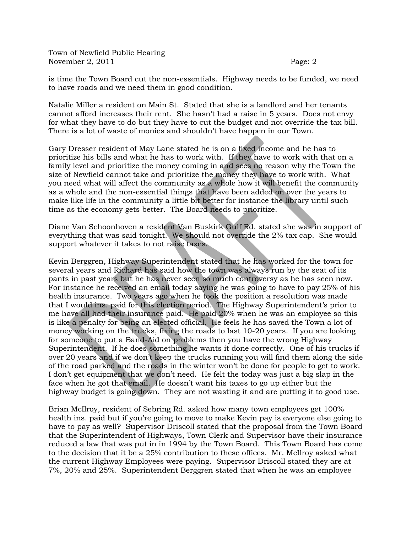Town of Newfield Public Hearing November 2, 2011 Page: 2

is time the Town Board cut the non-essentials. Highway needs to be funded, we need to have roads and we need them in good condition.

Natalie Miller a resident on Main St. Stated that she is a landlord and her tenants cannot afford increases their rent. She hasn't had a raise in 5 years. Does not envy for what they have to do but they have to cut the budget and not override the tax bill. There is a lot of waste of monies and shouldn't have happen in our Town.

Gary Dresser resident of May Lane stated he is on a fixed income and he has to prioritize his bills and what he has to work with. If they have to work with that on a family level and prioritize the money coming in and sees no reason why the Town the size of Newfield cannot take and prioritize the money they have to work with. What you need what will affect the community as a whole how it will benefit the community as a whole and the non-essential things that have been added on over the years to make like life in the community a little bit better for instance the library until such time as the economy gets better. The Board needs to prioritize.

Diane Van Schoonhoven a resident Van Buskirk Gulf Rd. stated she was in support of everything that was said tonight. We should not override the 2% tax cap. She would support whatever it takes to not raise taxes.

Kevin Berggren, Highway Superintendent stated that he has worked for the town for several years and Richard has said how the town was always run by the seat of its pants in past years but he has never seen so much controversy as he has seen now. For instance he received an email today saying he was going to have to pay 25% of his health insurance. Two years ago when he took the position a resolution was made that I would ins. paid for this election period. The Highway Superintendent's prior to me have all had their insurance paid. He paid 20% when he was an employee so this is like a penalty for being an elected official. He feels he has saved the Town a lot of money working on the trucks, fixing the roads to last 10-20 years. If you are looking for someone to put a Band-Aid on problems then you have the wrong Highway Superintendent. If he does something he wants it done correctly. One of his trucks if over 20 years and if we don't keep the trucks running you will find them along the side of the road parked and the roads in the winter won't be done for people to get to work. I don't get equipment that we don't need. He felt the today was just a big slap in the face when he got that email. He doesn't want his taxes to go up either but the highway budget is going down. They are not wasting it and are putting it to good use.

Brian McIlroy, resident of Sebring Rd. asked how many town employees get 100% health ins. paid but if you're going to move to make Kevin pay is everyone else going to have to pay as well? Supervisor Driscoll stated that the proposal from the Town Board that the Superintendent of Highways, Town Clerk and Supervisor have their insurance reduced a law that was put in in 1994 by the Town Board. This Town Board has come to the decision that it be a 25% contribution to these offices. Mr. McIlroy asked what the current Highway Employees were paying. Supervisor Driscoll stated they are at 7%, 20% and 25%. Superintendent Berggren stated that when he was an employee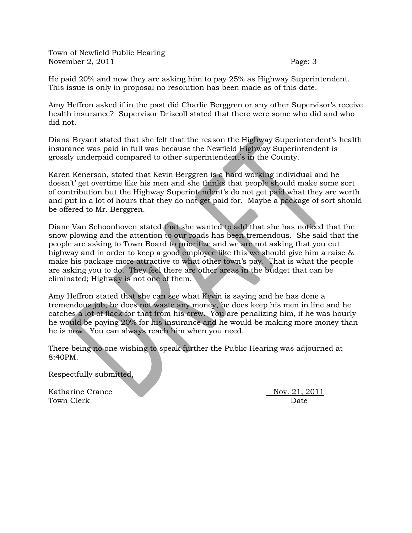Town of Newfield Public Hearing November 2, 2011 Page: 3

He paid 20% and now they are asking him to pay 25% as Highway Superintendent. This issue is only in proposal no resolution has been made as of this date.

Amy Heffron asked if in the past did Charlie Berggren or any other Supervisor's receive health insurance? Supervisor Driscoll stated that there were some who did and who did not.

Diana Bryant stated that she felt that the reason the Highway Superintendent's health insurance was paid in full was because the Newfield Highway Superintendent is grossly underpaid compared to other superintendent's in the County.

Karen Kenerson, stated that Kevin Berggren is a hard working individual and he doesn't' get overtime like his men and she thinks that people should make some sort of contribution but the Highway Superintendent's do not get paid what they are worth and put in a lot of hours that they do not get paid for. Maybe a package of sort should be offered to Mr. Berggren.

Diane Van Schoonhoven stated that she wanted to add that she has noticed that the snow plowing and the attention to our roads has been tremendous. She said that the people are asking to Town Board to prioritize and we are not asking that you cut highway and in order to keep a good employee like this we should give him a raise & make his package more attractive to what other town's pay. That is what the people are asking you to do. They feel there are other areas in the budget that can be eliminated; Highway is not one of them.

Amy Heffron stated that she can see what Kevin is saying and he has done a tremendous job, he does not waste any money, he does keep his men in line and he catches a lot of flack for that from his crew. You are penalizing him, if he was hourly he would be paying 20% for his insurance and he would be making more money than he is now. You can always reach him when you need.

There being no one wishing to speak further the Public Hearing was adjourned at 8:40PM.

Respectfully submitted,

Katharine Crance Nov. 21, 2011 Town Clerk Date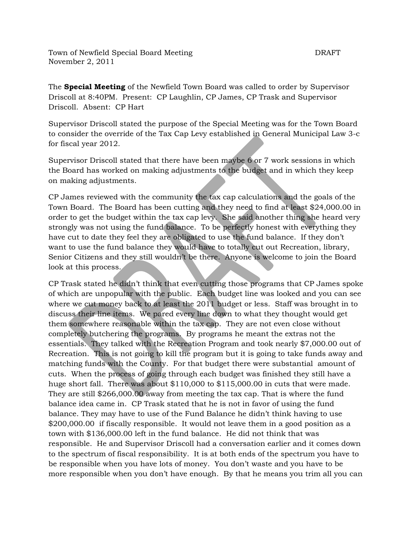Town of Newfield Special Board Meeting The Contract of DRAFT November 2, 2011

The **Special Meeting** of the Newfield Town Board was called to order by Supervisor Driscoll at 8:40PM. Present: CP Laughlin, CP James, CP Trask and Supervisor Driscoll. Absent: CP Hart

Supervisor Driscoll stated the purpose of the Special Meeting was for the Town Board to consider the override of the Tax Cap Levy established in General Municipal Law 3-c for fiscal year 2012.

Supervisor Driscoll stated that there have been maybe 6 or 7 work sessions in which the Board has worked on making adjustments to the budget and in which they keep on making adjustments.

CP James reviewed with the community the tax cap calculations and the goals of the Town Board. The Board has been cutting and they need to find at least \$24,000.00 in order to get the budget within the tax cap levy. She said another thing she heard very strongly was not using the fund balance. To be perfectly honest with everything they have cut to date they feel they are obligated to use the fund balance. If they don't want to use the fund balance they would have to totally cut out Recreation, library, Senior Citizens and they still wouldn't be there. Anyone is welcome to join the Board look at this process.

CP Trask stated he didn't think that even cutting those programs that CP James spoke of which are unpopular with the public. Each budget line was looked and you can see where we cut money back to at least the 2011 budget or less. Staff was brought in to discuss their line items. We pared every line down to what they thought would get them somewhere reasonable within the tax cap. They are not even close without completely butchering the programs. By programs he meant the extras not the essentials. They talked with the Recreation Program and took nearly \$7,000.00 out of Recreation. This is not going to kill the program but it is going to take funds away and matching funds with the County. For that budget there were substantial amount of cuts. When the process of going through each budget was finished they still have a huge short fall. There was about \$110,000 to \$115,000.00 in cuts that were made. They are still \$266,000.00 away from meeting the tax cap. That is where the fund balance idea came in. CP Trask stated that he is not in favor of using the fund balance. They may have to use of the Fund Balance he didn't think having to use \$200,000.00 if fiscally responsible. It would not leave them in a good position as a town with \$136,000.00 left in the fund balance. He did not think that was responsible. He and Supervisor Driscoll had a conversation earlier and it comes down to the spectrum of fiscal responsibility. It is at both ends of the spectrum you have to be responsible when you have lots of money. You don't waste and you have to be more responsible when you don't have enough. By that he means you trim all you can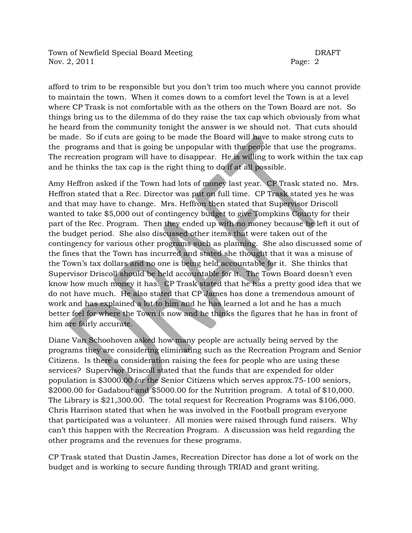Town of Newfield Special Board Meeting The Contract of DRAFT Nov. 2, 2011 Page: 2

afford to trim to be responsible but you don't trim too much where you cannot provide to maintain the town. When it comes down to a comfort level the Town is at a level where CP Trask is not comfortable with as the others on the Town Board are not. So things bring us to the dilemma of do they raise the tax cap which obviously from what he heard from the community tonight the answer is we should not. That cuts should be made. So if cuts are going to be made the Board will have to make strong cuts to the programs and that is going be unpopular with the people that use the programs. The recreation program will have to disappear. He is willing to work within the tax cap and he thinks the tax cap is the right thing to do if at all possible.

Amy Heffron asked if the Town had lots of money last year. CP Trask stated no. Mrs. Heffron stated that a Rec. Director was put on full time. CP Trask stated yes he was and that may have to change. Mrs. Heffron then stated that Supervisor Driscoll wanted to take \$5,000 out of contingency budget to give Tompkins County for their part of the Rec. Program. Then they ended up with no money because he left it out of the budget period. She also discussed other items that were taken out of the contingency for various other programs such as planning. She also discussed some of the fines that the Town has incurred and stated she thought that it was a misuse of the Town's tax dollars and no one is being held accountable for it. She thinks that Supervisor Driscoll should be held accountable for it. The Town Board doesn't even know how much money it has. CP Trask stated that he has a pretty good idea that we do not have much. He also stated that CP James has done a tremendous amount of work and has explained a lot to him and he has learned a lot and he has a much better feel for where the Town is now and he thinks the figures that he has in front of him are fairly accurate.

Diane Van Schoohoven asked how many people are actually being served by the programs they are considering eliminating such as the Recreation Program and Senior Citizens. Is there a consideration raising the fees for people who are using these services? Supervisor Driscoll stated that the funds that are expended for older population is \$3000.00 for the Senior Citizens which serves approx.75-100 seniors, \$2000.00 for Gadabout and \$5000.00 for the Nutrition program. A total of \$10,000. The Library is \$21,300.00. The total request for Recreation Programs was \$106,000. Chris Harrison stated that when he was involved in the Football program everyone that participated was a volunteer. All monies were raised through fund raisers. Why can't this happen with the Recreation Program. A discussion was held regarding the other programs and the revenues for these programs.

CP Trask stated that Dustin James, Recreation Director has done a lot of work on the budget and is working to secure funding through TRIAD and grant writing.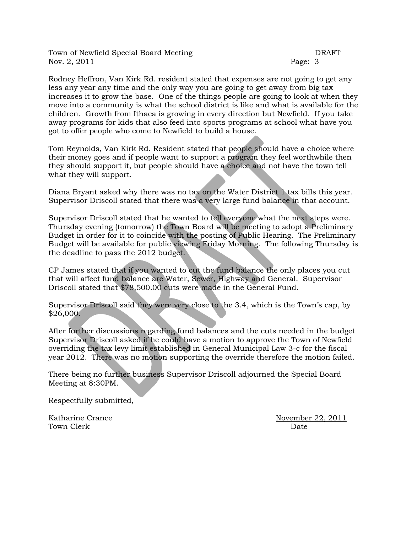Town of Newfield Special Board Meeting The Contract of DRAFT Nov. 2, 2011 Page: 3

Rodney Heffron, Van Kirk Rd. resident stated that expenses are not going to get any less any year any time and the only way you are going to get away from big tax increases it to grow the base. One of the things people are going to look at when they move into a community is what the school district is like and what is available for the children. Growth from Ithaca is growing in every direction but Newfield. If you take away programs for kids that also feed into sports programs at school what have you got to offer people who come to Newfield to build a house.

Tom Reynolds, Van Kirk Rd. Resident stated that people should have a choice where their money goes and if people want to support a program they feel worthwhile then they should support it, but people should have a choice and not have the town tell what they will support.

Diana Bryant asked why there was no tax on the Water District  $\Lambda$  tax bills this year. Supervisor Driscoll stated that there was a very large fund balance in that account.

Supervisor Driscoll stated that he wanted to tell everyone what the next steps were. Thursday evening (tomorrow) the Town Board will be meeting to adopt a Preliminary Budget in order for it to coincide with the posting of Public Hearing. The Preliminary Budget will be available for public viewing Friday Morning. The following Thursday is the deadline to pass the 2012 budget.

CP James stated that if you wanted to cut the fund balance the only places you cut that will affect fund balance are Water, Sewer, Highway and General. Supervisor Driscoll stated that \$78,500.00 cuts were made in the General Fund.

Supervisor Driscoll said they were very close to the 3.4, which is the Town's cap, by \$26,000.

After further discussions regarding fund balances and the cuts needed in the budget Supervisor Driscoll asked if he could have a motion to approve the Town of Newfield overriding the tax levy limit established in General Municipal Law 3-c for the fiscal year 2012. There was no motion supporting the override therefore the motion failed.

There being no further business Supervisor Driscoll adjourned the Special Board Meeting at 8:30PM.

Respectfully submitted,

Town Clerk Date

Katharine Crance November 22, 2011